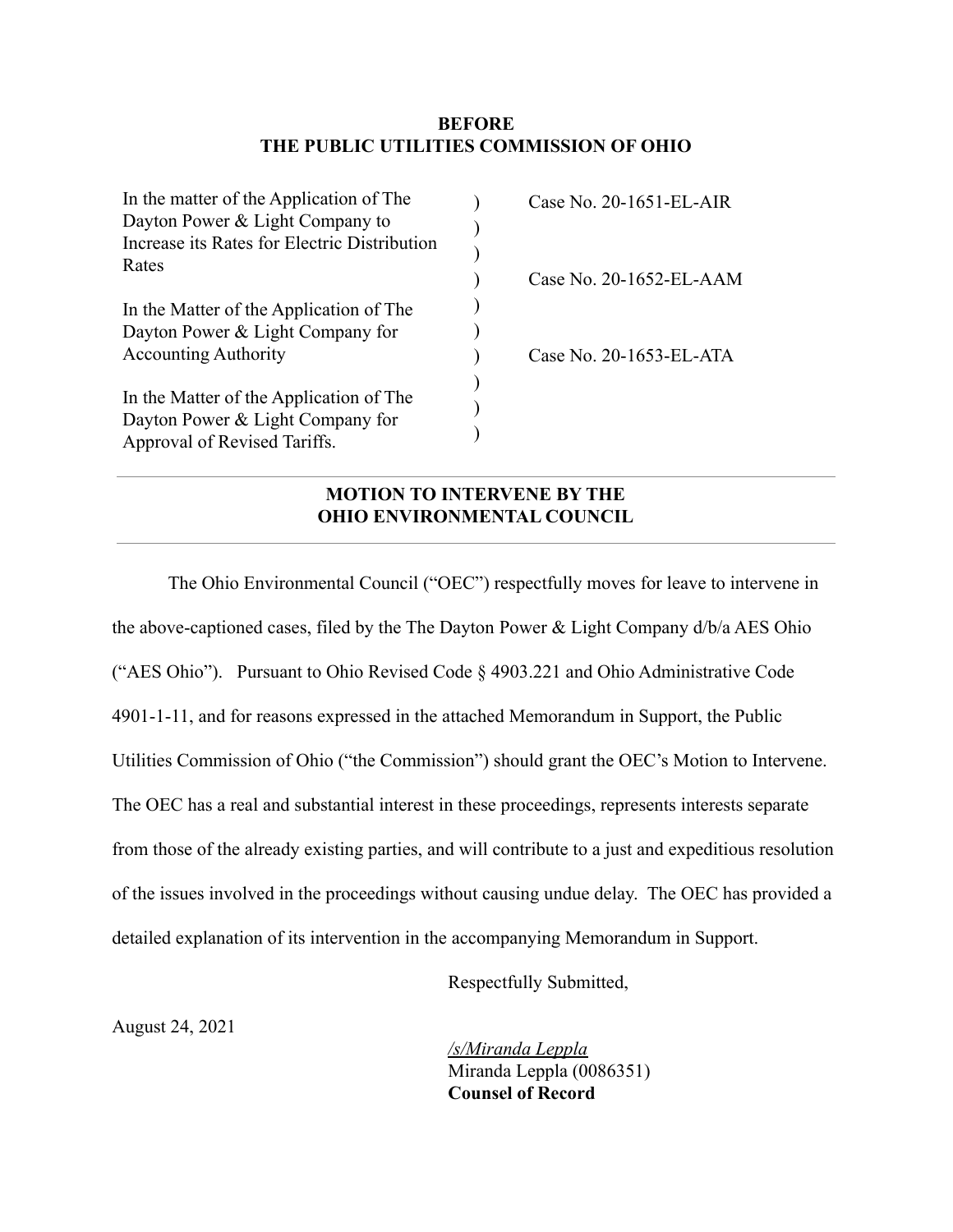## **BEFORE THE PUBLIC UTILITIES COMMISSION OF OHIO**

| In the matter of the Application of The      | Case No. 20-1651-EL-AIR |
|----------------------------------------------|-------------------------|
| Dayton Power & Light Company to              |                         |
| Increase its Rates for Electric Distribution |                         |
| Rates                                        |                         |
|                                              | Case No. 20-1652-EL-AAM |
| In the Matter of the Application of The      |                         |
| Dayton Power & Light Company for             |                         |
| <b>Accounting Authority</b>                  | Case No. 20-1653-EL-ATA |
|                                              |                         |
| In the Matter of the Application of The      |                         |
| Dayton Power & Light Company for             |                         |
| Approval of Revised Tariffs.                 |                         |

# **MOTION TO INTERVENE BY THE OHIO ENVIRONMENTAL COUNCIL**

The Ohio Environmental Council ("OEC") respectfully moves for leave to intervene in the above-captioned cases, filed by the The Dayton Power  $&$  Light Company  $d/b/a$  AES Ohio ("AES Ohio"). Pursuant to Ohio Revised Code § 4903.221 and Ohio Administrative Code 4901-1-11, and for reasons expressed in the attached Memorandum in Support, the Public Utilities Commission of Ohio ("the Commission") should grant the OEC's Motion to Intervene. The OEC has a real and substantial interest in these proceedings, represents interests separate from those of the already existing parties, and will contribute to a just and expeditious resolution of the issues involved in the proceedings without causing undue delay. The OEC has provided a detailed explanation of its intervention in the accompanying Memorandum in Support.

Respectfully Submitted,

August 24, 2021

*/s/Miranda Leppla* Miranda Leppla (0086351) **Counsel of Record**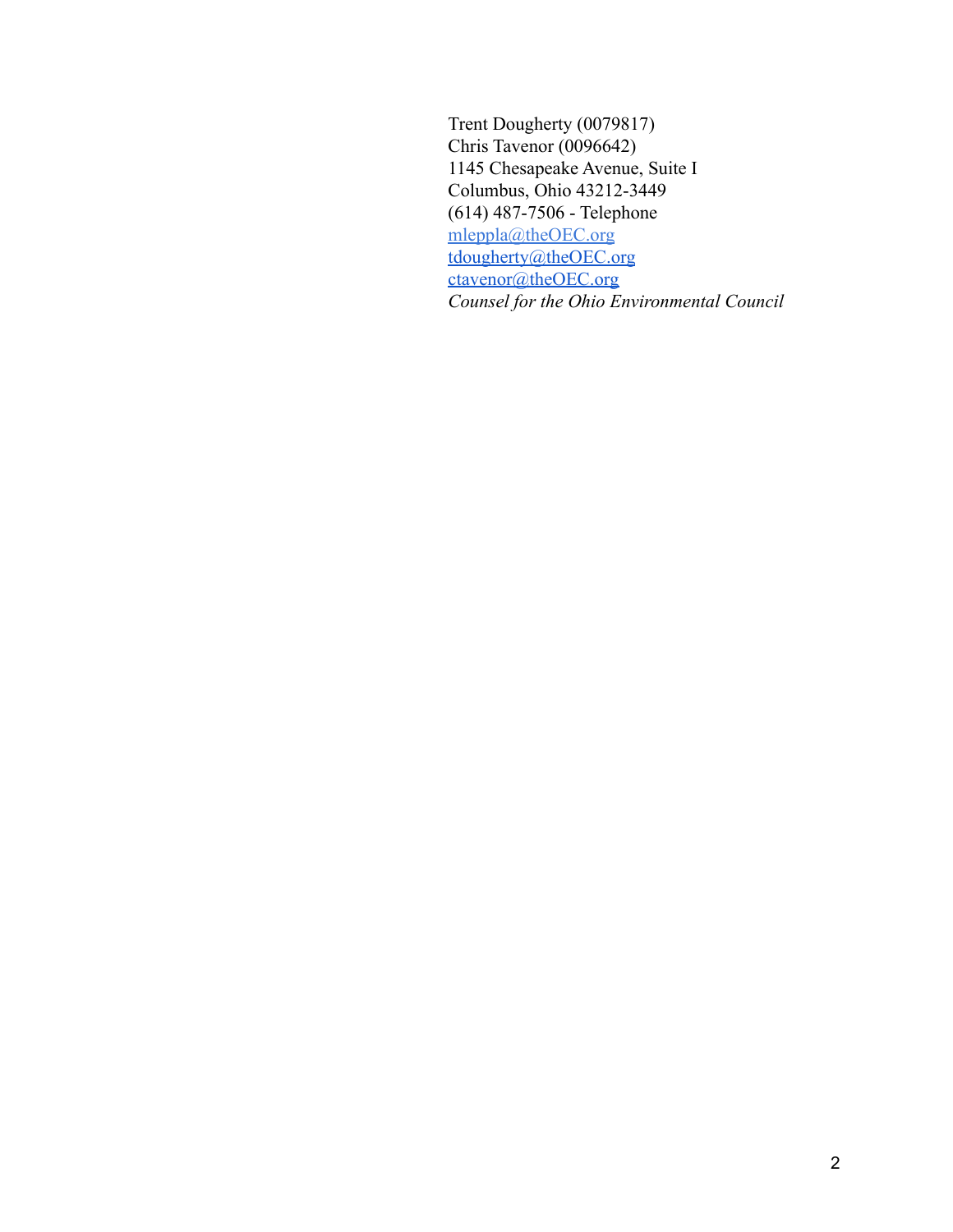Trent Dougherty (0079817) Chris Tavenor (0096642) 1145 Chesapeake Avenue, Suite I Columbus, Ohio 43212-3449 (614) 487-7506 - Telephone [mleppla@theOEC.org](mailto:mleppla@theOEC.org) [tdougherty@theOEC.org](mailto:tdougherty@theOEC.org) [ctavenor@theOEC.org](mailto:ctavenor@theoec.org) *Counsel for the Ohio Environmental Council*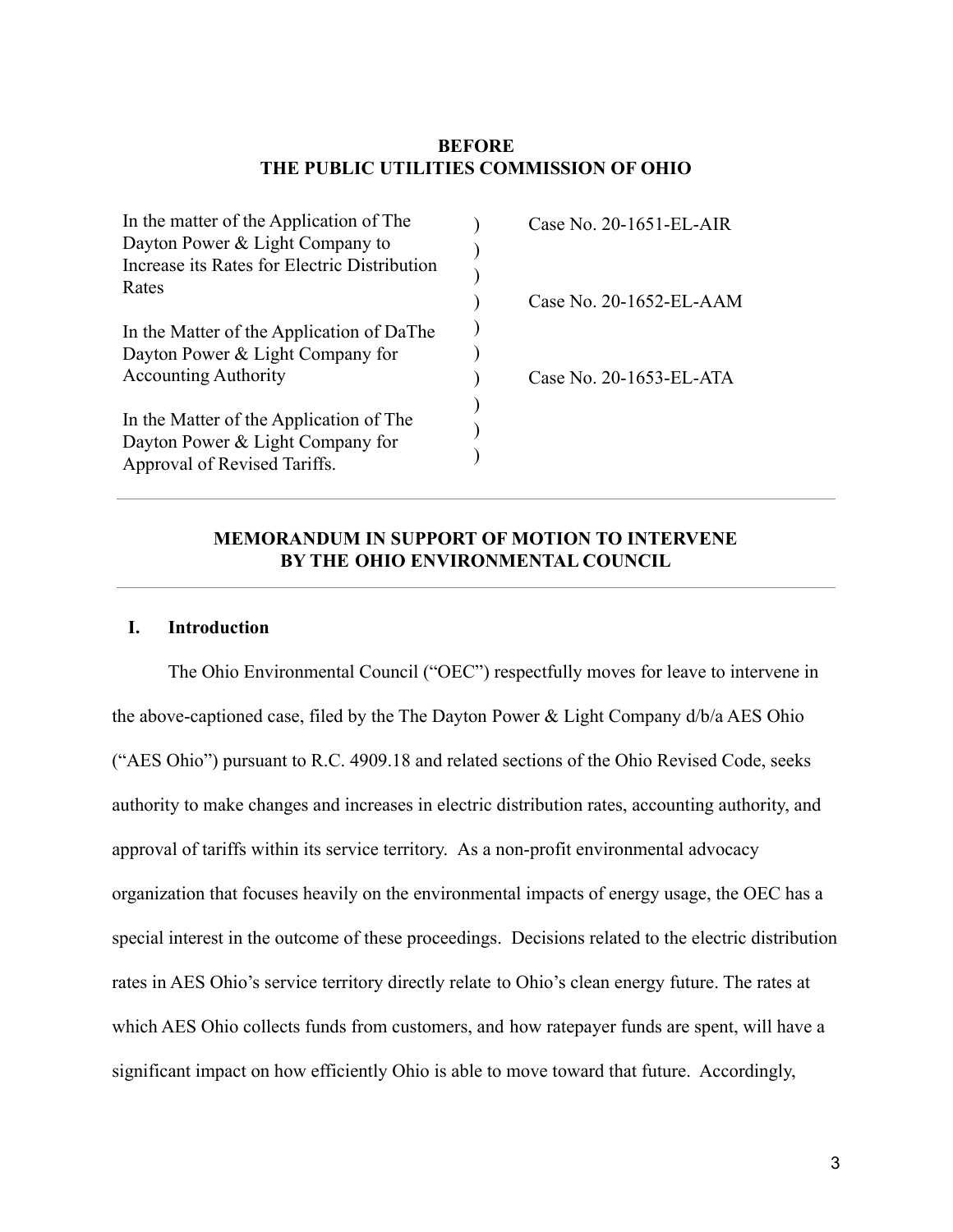## **BEFORE THE PUBLIC UTILITIES COMMISSION OF OHIO**

| In the matter of the Application of The      | Case No. 20-1651-EL-AIR |
|----------------------------------------------|-------------------------|
| Dayton Power & Light Company to              |                         |
| Increase its Rates for Electric Distribution |                         |
| Rates                                        |                         |
|                                              | Case No. 20-1652-EL-AAM |
| In the Matter of the Application of DaThe    |                         |
| Dayton Power & Light Company for             |                         |
| <b>Accounting Authority</b>                  | Case No. 20-1653-EL-ATA |
|                                              |                         |
| In the Matter of the Application of The      |                         |
| Dayton Power & Light Company for             |                         |
| Approval of Revised Tariffs.                 |                         |

## **MEMORANDUM IN SUPPORT OF MOTION TO INTERVENE BY THE OHIO ENVIRONMENTAL COUNCIL**

### **I. Introduction**

The Ohio Environmental Council ("OEC") respectfully moves for leave to intervene in the above-captioned case, filed by the The Dayton Power & Light Company d/b/a AES Ohio ("AES Ohio") pursuant to R.C. 4909.18 and related sections of the Ohio Revised Code, seeks authority to make changes and increases in electric distribution rates, accounting authority, and approval of tariffs within its service territory. As a non-profit environmental advocacy organization that focuses heavily on the environmental impacts of energy usage, the OEC has a special interest in the outcome of these proceedings. Decisions related to the electric distribution rates in AES Ohio's service territory directly relate to Ohio's clean energy future. The rates at which AES Ohio collects funds from customers, and how ratepayer funds are spent, will have a significant impact on how efficiently Ohio is able to move toward that future. Accordingly,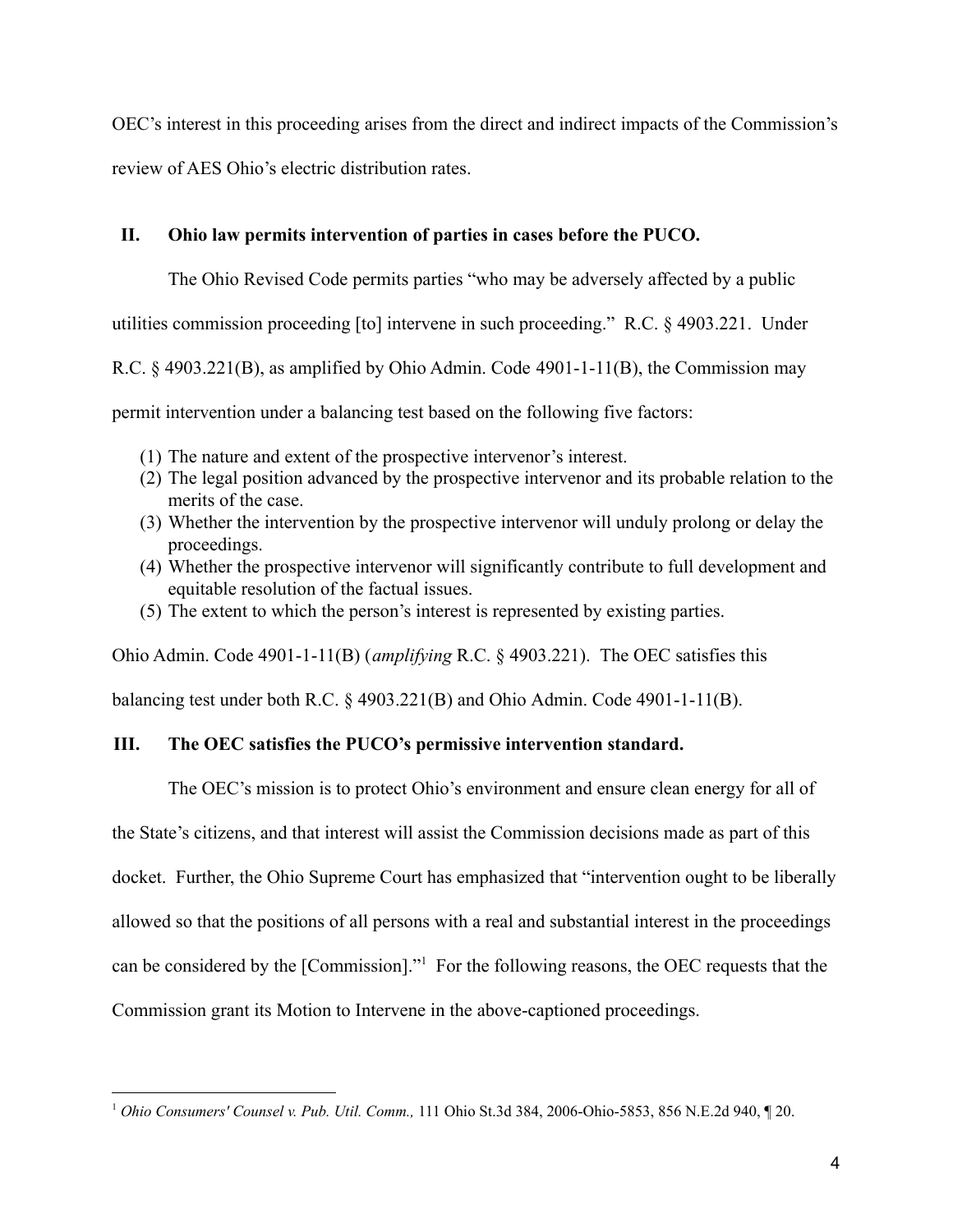OEC's interest in this proceeding arises from the direct and indirect impacts of the Commission's review of AES Ohio's electric distribution rates.

## **II. Ohio law permits intervention of parties in cases before the PUCO.**

The Ohio Revised Code permits parties "who may be adversely affected by a public

utilities commission proceeding [to] intervene in such proceeding." R.C. § 4903.221. Under

R.C. § 4903.221(B), as amplified by Ohio Admin. Code 4901-1-11(B), the Commission may

permit intervention under a balancing test based on the following five factors:

- (1) The nature and extent of the prospective intervenor's interest.
- (2) The legal position advanced by the prospective intervenor and its probable relation to the merits of the case.
- (3) Whether the intervention by the prospective intervenor will unduly prolong or delay the proceedings.
- (4) Whether the prospective intervenor will significantly contribute to full development and equitable resolution of the factual issues.
- (5) The extent to which the person's interest is represented by existing parties.

Ohio Admin. Code 4901-1-11(B) (*amplifying* R.C. § 4903.221). The OEC satisfies this

balancing test under both R.C. § 4903.221(B) and Ohio Admin. Code 4901-1-11(B).

## **III. The OEC satisfies the PUCO's permissive intervention standard.**

The OEC's mission is to protect Ohio's environment and ensure clean energy for all of

the State's citizens, and that interest will assist the Commission decisions made as part of this

docket. Further, the Ohio Supreme Court has emphasized that "intervention ought to be liberally

allowed so that the positions of all persons with a real and substantial interest in the proceedings

can be considered by the [Commission]."<sup>1</sup> For the following reasons, the OEC requests that the

Commission grant its Motion to Intervene in the above-captioned proceedings.

<sup>1</sup> *Ohio Consumers' Counsel v. Pub. Util. Comm.,* 111 Ohio St.3d 384, 2006-Ohio-5853, 856 N.E.2d 940, ¶ 20.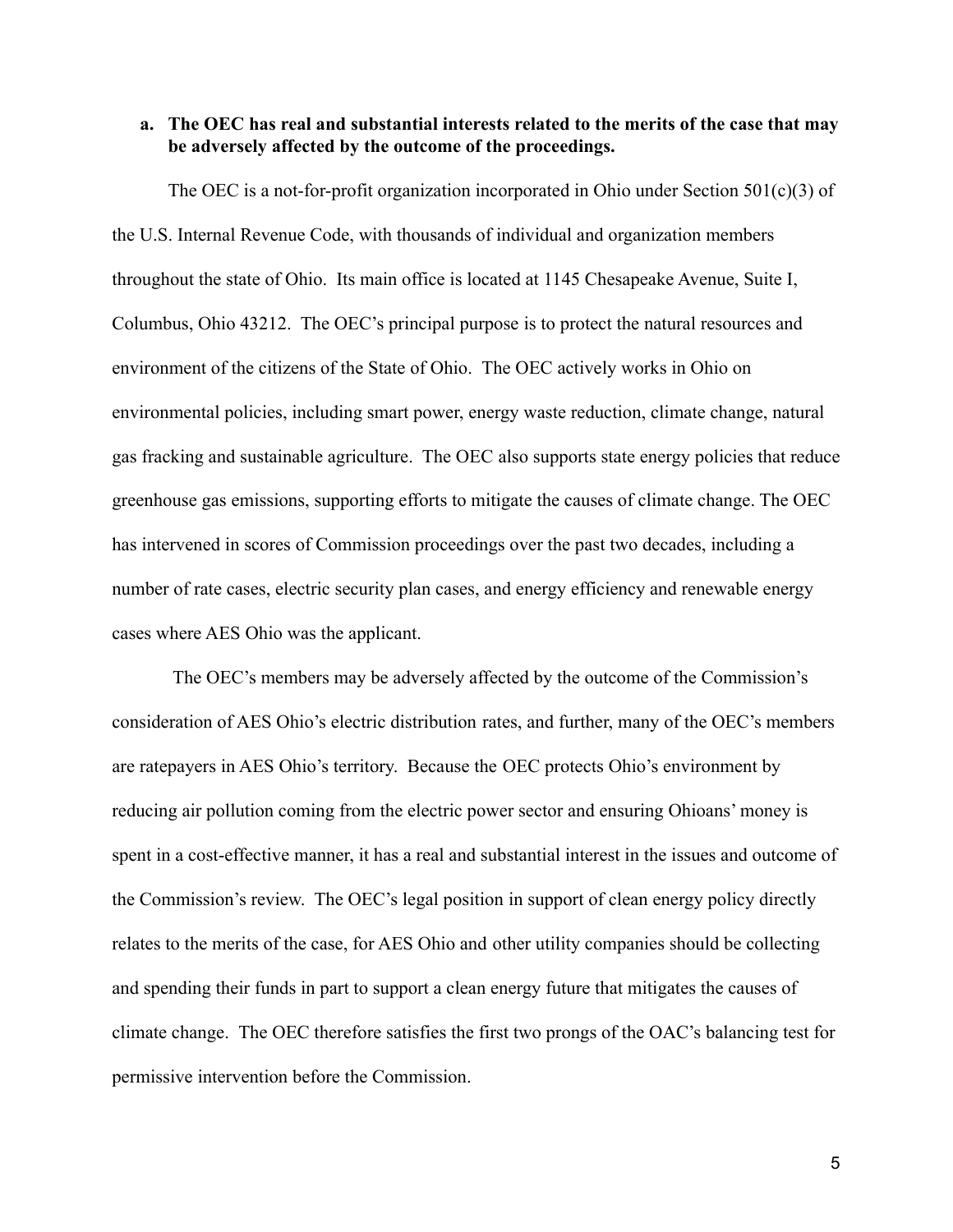## **a. The OEC has real and substantial interests related to the merits of the case that may be adversely affected by the outcome of the proceedings.**

The OEC is a not-for-profit organization incorporated in Ohio under Section  $501(c)(3)$  of the U.S. Internal Revenue Code, with thousands of individual and organization members throughout the state of Ohio. Its main office is located at 1145 Chesapeake Avenue, Suite I, Columbus, Ohio 43212. The OEC's principal purpose is to protect the natural resources and environment of the citizens of the State of Ohio. The OEC actively works in Ohio on environmental policies, including smart power, energy waste reduction, climate change, natural gas fracking and sustainable agriculture. The OEC also supports state energy policies that reduce greenhouse gas emissions, supporting efforts to mitigate the causes of climate change. The OEC has intervened in scores of Commission proceedings over the past two decades, including a number of rate cases, electric security plan cases, and energy efficiency and renewable energy cases where AES Ohio was the applicant.

The OEC's members may be adversely affected by the outcome of the Commission's consideration of AES Ohio's electric distribution rates, and further, many of the OEC's members are ratepayers in AES Ohio's territory. Because the OEC protects Ohio's environment by reducing air pollution coming from the electric power sector and ensuring Ohioans' money is spent in a cost-effective manner, it has a real and substantial interest in the issues and outcome of the Commission's review. The OEC's legal position in support of clean energy policy directly relates to the merits of the case, for AES Ohio and other utility companies should be collecting and spending their funds in part to support a clean energy future that mitigates the causes of climate change. The OEC therefore satisfies the first two prongs of the OAC's balancing test for permissive intervention before the Commission.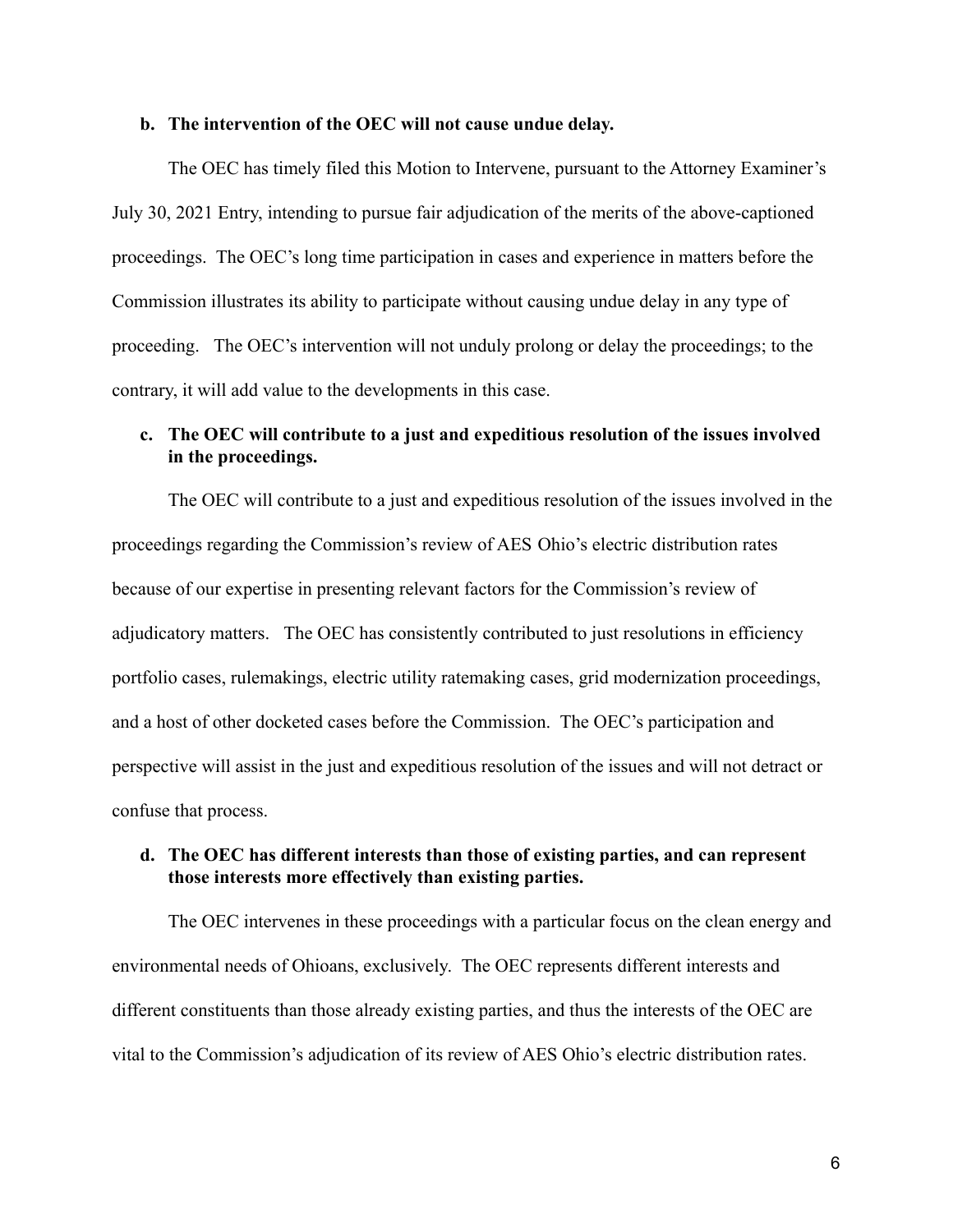#### **b. The intervention of the OEC will not cause undue delay.**

The OEC has timely filed this Motion to Intervene, pursuant to the Attorney Examiner's July 30, 2021 Entry, intending to pursue fair adjudication of the merits of the above-captioned proceedings. The OEC's long time participation in cases and experience in matters before the Commission illustrates its ability to participate without causing undue delay in any type of proceeding. The OEC's intervention will not unduly prolong or delay the proceedings; to the contrary, it will add value to the developments in this case.

## **c. The OEC will contribute to a just and expeditious resolution of the issues involved in the proceedings.**

The OEC will contribute to a just and expeditious resolution of the issues involved in the proceedings regarding the Commission's review of AES Ohio's electric distribution rates because of our expertise in presenting relevant factors for the Commission's review of adjudicatory matters. The OEC has consistently contributed to just resolutions in efficiency portfolio cases, rulemakings, electric utility ratemaking cases, grid modernization proceedings, and a host of other docketed cases before the Commission. The OEC's participation and perspective will assist in the just and expeditious resolution of the issues and will not detract or confuse that process.

## **d. The OEC has different interests than those of existing parties, and can represent those interests more effectively than existing parties.**

The OEC intervenes in these proceedings with a particular focus on the clean energy and environmental needs of Ohioans, exclusively. The OEC represents different interests and different constituents than those already existing parties, and thus the interests of the OEC are vital to the Commission's adjudication of its review of AES Ohio's electric distribution rates.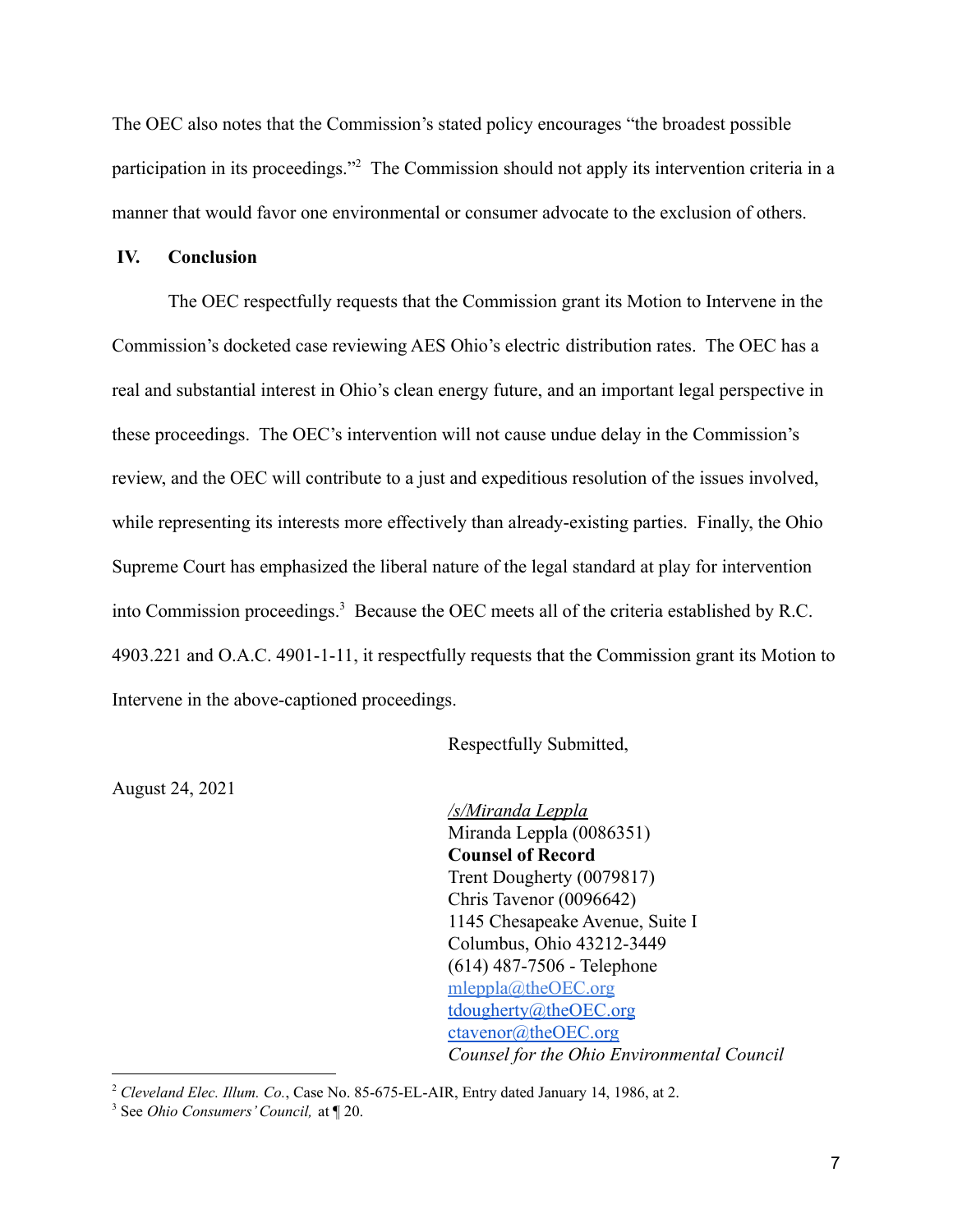The OEC also notes that the Commission's stated policy encourages "the broadest possible participation in its proceedings."<sup>2</sup> The Commission should not apply its intervention criteria in a manner that would favor one environmental or consumer advocate to the exclusion of others.

## **IV. Conclusion**

The OEC respectfully requests that the Commission grant its Motion to Intervene in the Commission's docketed case reviewing AES Ohio's electric distribution rates. The OEC has a real and substantial interest in Ohio's clean energy future, and an important legal perspective in these proceedings. The OEC's intervention will not cause undue delay in the Commission's review, and the OEC will contribute to a just and expeditious resolution of the issues involved, while representing its interests more effectively than already-existing parties. Finally, the Ohio Supreme Court has emphasized the liberal nature of the legal standard at play for intervention into Commission proceedings.<sup>3</sup> Because the OEC meets all of the criteria established by R.C. 4903.221 and O.A.C. 4901-1-11, it respectfully requests that the Commission grant its Motion to Intervene in the above-captioned proceedings.

Respectfully Submitted,

August 24, 2021

*/s/Miranda Leppla* Miranda Leppla (0086351) **Counsel of Record** Trent Dougherty (0079817) Chris Tavenor (0096642) 1145 Chesapeake Avenue, Suite I Columbus, Ohio 43212-3449 (614) 487-7506 - Telephone [mleppla@theOEC.org](mailto:mleppla@theOEC.org) [tdougherty@theOEC.org](mailto:tdougherty@theOEC.org) [ctavenor@theOEC.org](mailto:ctavenor@theoec.org) *Counsel for the Ohio Environmental Council*

<sup>2</sup> *Cleveland Elec. Illum. Co.*, Case No. 85-675-EL-AIR, Entry dated January 14, 1986, at 2.

<sup>3</sup> See *Ohio Consumers'Council,* at ¶ 20.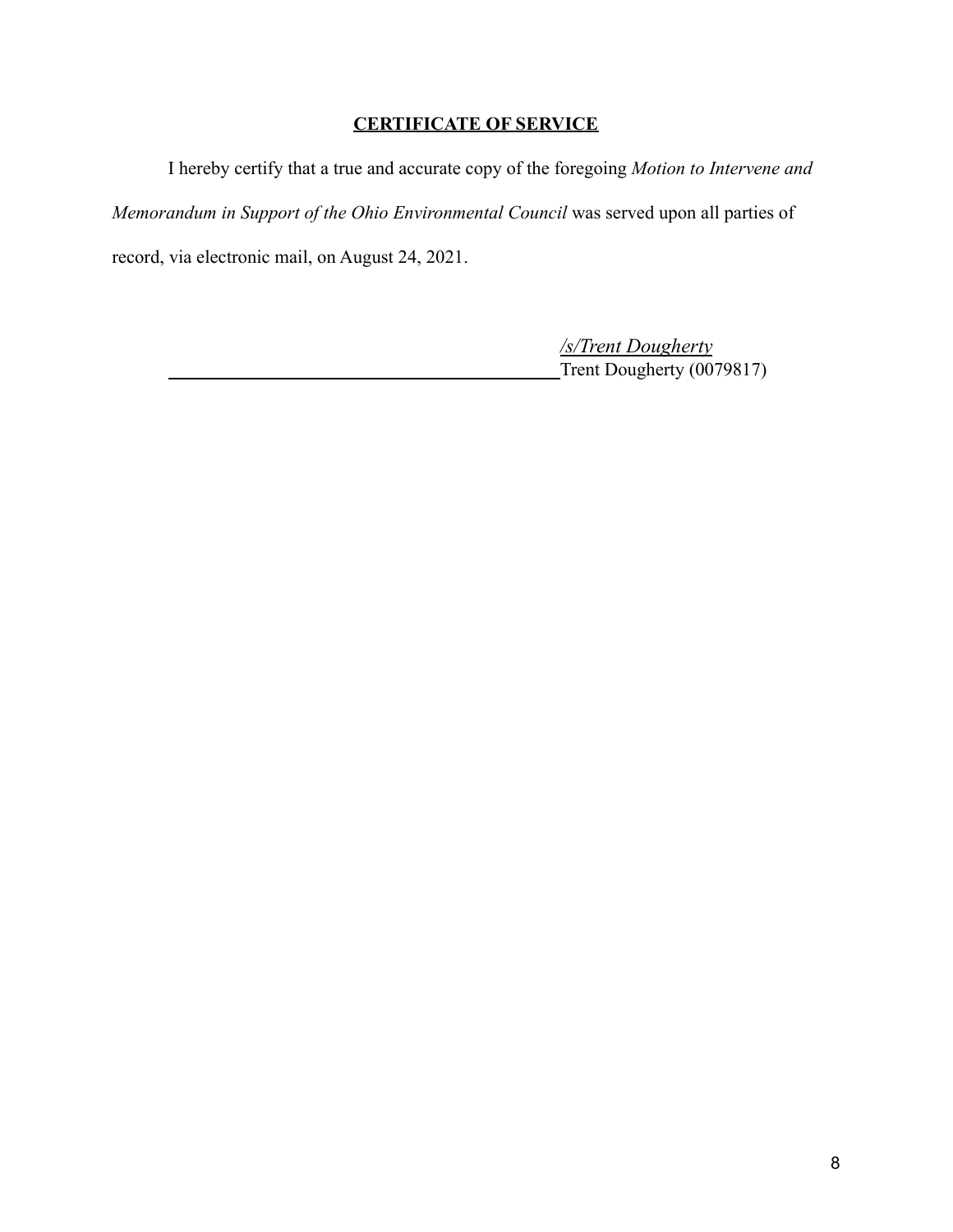# **CERTIFICATE OF SERVICE**

I hereby certify that a true and accurate copy of the foregoing *Motion to Intervene and Memorandum in Support of the Ohio Environmental Council* was served upon all parties of record, via electronic mail, on August 24, 2021.

> */s/Trent Dougherty* Trent Dougherty (0079817)